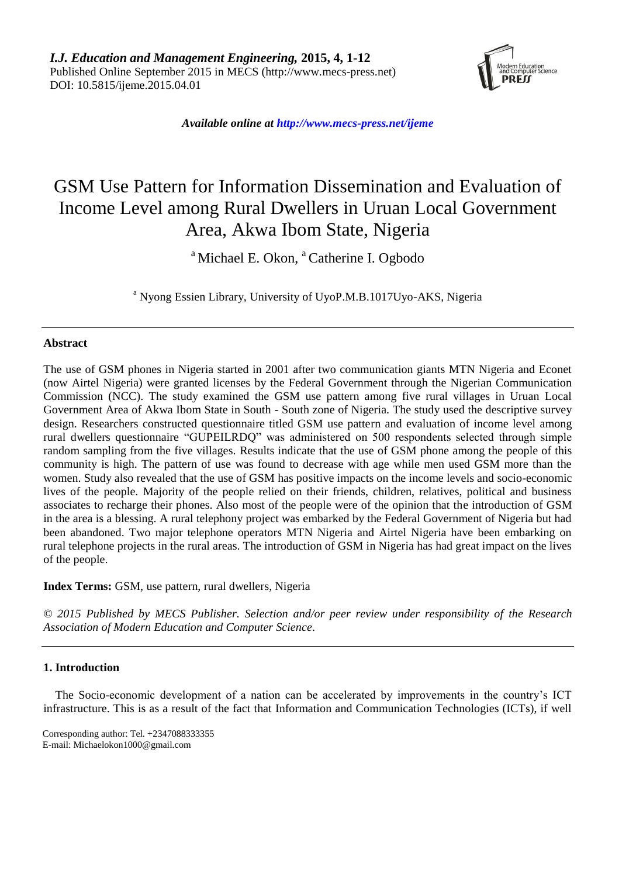

*Available online at http://www.mecs-press.net/ijeme*

# GSM Use Pattern for Information Dissemination and Evaluation of Income Level among Rural Dwellers in Uruan Local Government Area, Akwa Ibom State, Nigeria

<sup>a</sup> Michael E. Okon, <sup>a</sup> Catherine I. Ogbodo

<sup>a</sup> Nyong Essien Library, University of UyoP.M.B.1017Uyo-AKS, Nigeria

# **Abstract**

The use of GSM phones in Nigeria started in 2001 after two communication giants MTN Nigeria and Econet (now Airtel Nigeria) were granted licenses by the Federal Government through the Nigerian Communication Commission (NCC). The study examined the GSM use pattern among five rural villages in Uruan Local Government Area of Akwa Ibom State in South - South zone of Nigeria. The study used the descriptive survey design. Researchers constructed questionnaire titled GSM use pattern and evaluation of income level among rural dwellers questionnaire "GUPEILRDQ" was administered on 500 respondents selected through simple random sampling from the five villages. Results indicate that the use of GSM phone among the people of this community is high. The pattern of use was found to decrease with age while men used GSM more than the women. Study also revealed that the use of GSM has positive impacts on the income levels and socio-economic lives of the people. Majority of the people relied on their friends, children, relatives, political and business associates to recharge their phones. Also most of the people were of the opinion that the introduction of GSM in the area is a blessing. A rural telephony project was embarked by the Federal Government of Nigeria but had been abandoned. Two major telephone operators MTN Nigeria and Airtel Nigeria have been embarking on rural telephone projects in the rural areas. The introduction of GSM in Nigeria has had great impact on the lives of the people.

**Index Terms:** GSM, use pattern, rural dwellers, Nigeria

*© 2015 Published by MECS Publisher. Selection and/or peer review under responsibility of the Research Association of Modern Education and Computer Science.*

# **1. Introduction**

The Socio-economic development of a nation can be accelerated by improvements in the country's ICT infrastructure. This is as a result of the fact that Information and Communication Technologies (ICTs), if well

Corresponding author: Tel. +2347088333355 E-mail: Michaelokon1000@gmail.com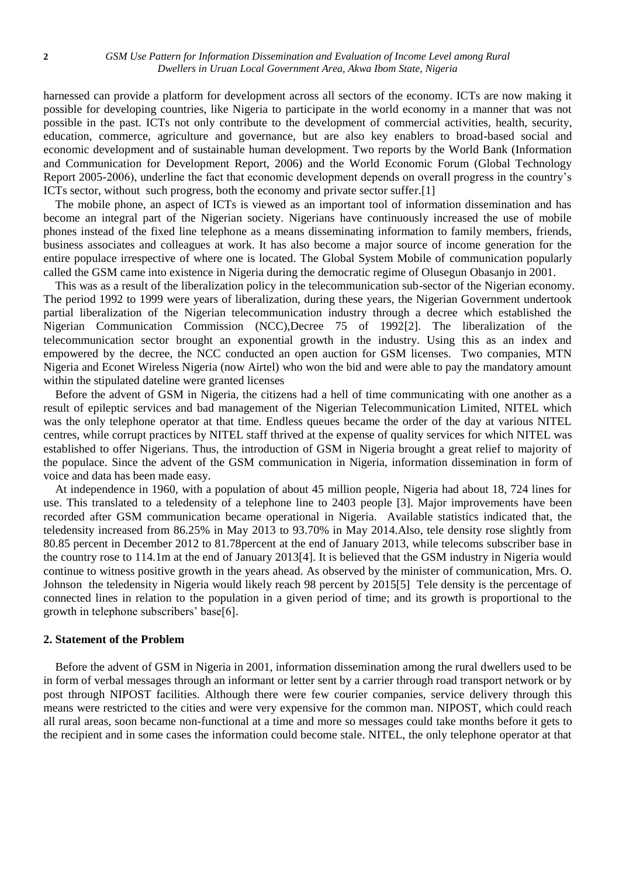harnessed can provide a platform for development across all sectors of the economy. ICTs are now making it possible for developing countries, like Nigeria to participate in the world economy in a manner that was not possible in the past. ICTs not only contribute to the development of commercial activities, health, security, education, commerce, agriculture and governance, but are also key enablers to broad-based social and economic development and of sustainable human development. Two reports by the World Bank (Information and Communication for Development Report, 2006) and the World Economic Forum (Global Technology Report 2005-2006), underline the fact that economic development depends on overall progress in the country's ICTs sector, without such progress, both the economy and private sector suffer.[1]

The mobile phone, an aspect of ICTs is viewed as an important tool of information dissemination and has become an integral part of the Nigerian society. Nigerians have continuously increased the use of mobile phones instead of the fixed line telephone as a means disseminating information to family members, friends, business associates and colleagues at work. It has also become a major source of income generation for the entire populace irrespective of where one is located. The Global System Mobile of communication popularly called the GSM came into existence in Nigeria during the democratic regime of Olusegun Obasanjo in 2001.

This was as a result of the liberalization policy in the telecommunication sub-sector of the Nigerian economy. The period 1992 to 1999 were years of liberalization, during these years, the Nigerian Government undertook partial liberalization of the Nigerian telecommunication industry through a decree which established the Nigerian Communication Commission (NCC),Decree 75 of 1992[2]. The liberalization of the telecommunication sector brought an exponential growth in the industry. Using this as an index and empowered by the decree, the NCC conducted an open auction for GSM licenses. Two companies, MTN Nigeria and Econet Wireless Nigeria (now Airtel) who won the bid and were able to pay the mandatory amount within the stipulated dateline were granted licenses

Before the advent of GSM in Nigeria, the citizens had a hell of time communicating with one another as a result of epileptic services and bad management of the Nigerian Telecommunication Limited, NITEL which was the only telephone operator at that time. Endless queues became the order of the day at various NITEL centres, while corrupt practices by NITEL staff thrived at the expense of quality services for which NITEL was established to offer Nigerians. Thus, the introduction of GSM in Nigeria brought a great relief to majority of the populace. Since the advent of the GSM communication in Nigeria, information dissemination in form of voice and data has been made easy.

At independence in 1960, with a population of about 45 million people, Nigeria had about 18, 724 lines for use. This translated to a teledensity of a telephone line to 2403 people [3]. Major improvements have been recorded after GSM communication became operational in Nigeria. Available statistics indicated that, the teledensity increased from 86.25% in May 2013 to 93.70% in May 2014.Also, tele density rose slightly from 80.85 percent in December 2012 to 81.78percent at the end of January 2013, while telecoms subscriber base in the country rose to 114.1m at the end of January 2013[4]. It is believed that the GSM industry in Nigeria would continue to witness positive growth in the years ahead. As observed by the minister of communication, Mrs. O. Johnson the teledensity in Nigeria would likely reach 98 percent by 2015[5] Tele density is the percentage of connected lines in relation to the population in a given period of time; and its growth is proportional to the growth in telephone subscribers' base[6].

# **2. Statement of the Problem**

Before the advent of GSM in Nigeria in 2001, information dissemination among the rural dwellers used to be in form of verbal messages through an informant or letter sent by a carrier through road transport network or by post through NIPOST facilities. Although there were few courier companies, service delivery through this means were restricted to the cities and were very expensive for the common man. NIPOST, which could reach all rural areas, soon became non-functional at a time and more so messages could take months before it gets to the recipient and in some cases the information could become stale. NITEL, the only telephone operator at that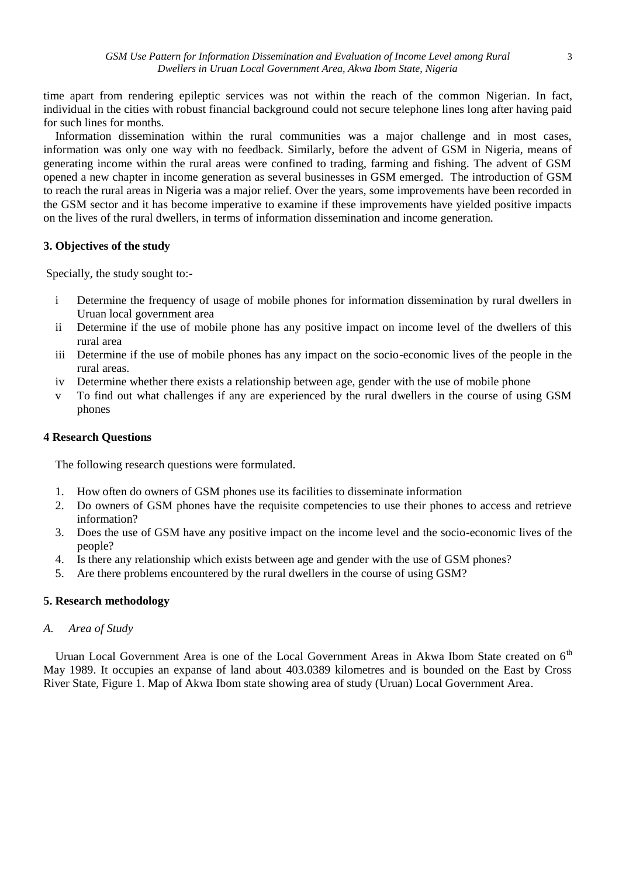time apart from rendering epileptic services was not within the reach of the common Nigerian. In fact, individual in the cities with robust financial background could not secure telephone lines long after having paid for such lines for months.

Information dissemination within the rural communities was a major challenge and in most cases, information was only one way with no feedback. Similarly, before the advent of GSM in Nigeria, means of generating income within the rural areas were confined to trading, farming and fishing. The advent of GSM opened a new chapter in income generation as several businesses in GSM emerged. The introduction of GSM to reach the rural areas in Nigeria was a major relief. Over the years, some improvements have been recorded in the GSM sector and it has become imperative to examine if these improvements have yielded positive impacts on the lives of the rural dwellers, in terms of information dissemination and income generation.

# **3. Objectives of the study**

Specially, the study sought to:-

- i Determine the frequency of usage of mobile phones for information dissemination by rural dwellers in Uruan local government area
- ii Determine if the use of mobile phone has any positive impact on income level of the dwellers of this rural area
- iii Determine if the use of mobile phones has any impact on the socio-economic lives of the people in the rural areas.
- iv Determine whether there exists a relationship between age, gender with the use of mobile phone
- v To find out what challenges if any are experienced by the rural dwellers in the course of using GSM phones

# **4 Research Questions**

The following research questions were formulated.

- 1. How often do owners of GSM phones use its facilities to disseminate information
- 2. Do owners of GSM phones have the requisite competencies to use their phones to access and retrieve information?
- 3. Does the use of GSM have any positive impact on the income level and the socio-economic lives of the people?
- 4. Is there any relationship which exists between age and gender with the use of GSM phones?
- 5. Are there problems encountered by the rural dwellers in the course of using GSM?

# **5. Research methodology**

# *A. Area of Study*

Uruan Local Government Area is one of the Local Government Areas in Akwa Ibom State created on 6<sup>th</sup> May 1989. It occupies an expanse of land about 403.0389 kilometres and is bounded on the East by Cross River State, Figure 1. Map of Akwa Ibom state showing area of study (Uruan) Local Government Area.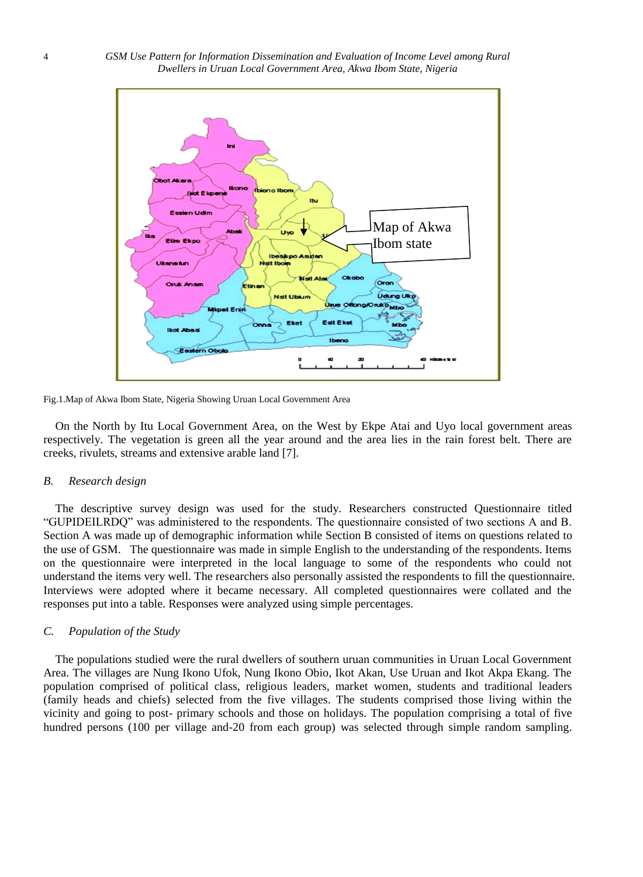

Fig.1.Map of Akwa Ibom State, Nigeria Showing Uruan Local Government Area

On the North by Itu Local Government Area, on the West by Ekpe Atai and Uyo local government areas respectively. The vegetation is green all the year around and the area lies in the rain forest belt. There are creeks, rivulets, streams and extensive arable land [7].

### *B. Research design*

The descriptive survey design was used for the study. Researchers constructed Questionnaire titled ―GUPIDEILRDQ‖ was administered to the respondents. The questionnaire consisted of two sections A and B. Section A was made up of demographic information while Section B consisted of items on questions related to the use of GSM. The questionnaire was made in simple English to the understanding of the respondents. Items on the questionnaire were interpreted in the local language to some of the respondents who could not understand the items very well. The researchers also personally assisted the respondents to fill the questionnaire. Interviews were adopted where it became necessary. All completed questionnaires were collated and the responses put into a table. Responses were analyzed using simple percentages.

# *C. Population of the Study*

The populations studied were the rural dwellers of southern uruan communities in Uruan Local Government Area. The villages are Nung Ikono Ufok, Nung Ikono Obio, Ikot Akan, Use Uruan and Ikot Akpa Ekang. The population comprised of political class, religious leaders, market women, students and traditional leaders (family heads and chiefs) selected from the five villages. The students comprised those living within the vicinity and going to post- primary schools and those on holidays. The population comprising a total of five hundred persons (100 per village and-20 from each group) was selected through simple random sampling.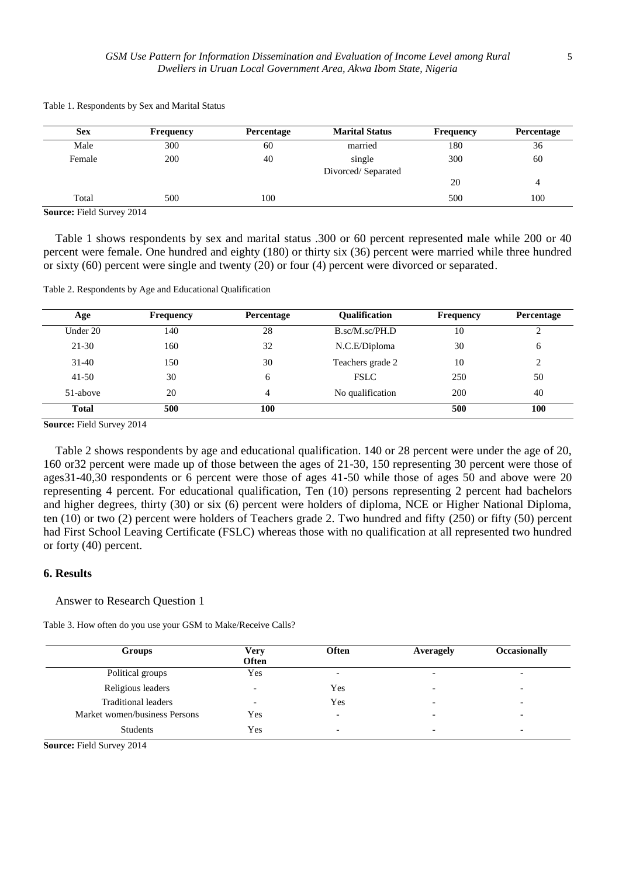| <b>Sex</b>          | Frequency | Percentage | <b>Marital Status</b> | Frequency | Percentage |
|---------------------|-----------|------------|-----------------------|-----------|------------|
| Male                | 300       | 60         | married               | 180       | 36         |
| Female              | 200       | 40         | single                | 300       | 60         |
|                     |           |            | Divorced/Separated    |           |            |
|                     |           |            |                       | 20        | 4          |
| Total               | 500       | 100        |                       | 500       | 100        |
| $T^*$ 110<br>$\sim$ | 0.011     |            |                       |           |            |

Table 1. Respondents by Sex and Marital Status

**Source:** Field Survey 2014

Table 1 shows respondents by sex and marital status .300 or 60 percent represented male while 200 or 40 percent were female. One hundred and eighty (180) or thirty six (36) percent were married while three hundred or sixty (60) percent were single and twenty (20) or four (4) percent were divorced or separated.

Table 2. Respondents by Age and Educational Qualification

| Age          | <b>Frequency</b> | Percentage | <b>Oualification</b> | <b>Frequency</b> | Percentage |
|--------------|------------------|------------|----------------------|------------------|------------|
| Under 20     | 140              | 28         | B.sc/M.sc/PH.D       | 10               |            |
| $21 - 30$    | 160              | 32         | N.C.E/Diploma        | 30               | 6          |
| $31-40$      | 150              | 30         | Teachers grade 2     | 10               | 2          |
| $41 - 50$    | 30               | 6          | <b>FSLC</b>          | 250              | 50         |
| 51-above     | 20               | 4          | No qualification     | 200              | 40         |
| <b>Total</b> | 500              | 100        |                      | 500              | 100        |

**Source:** Field Survey 2014

Table 2 shows respondents by age and educational qualification. 140 or 28 percent were under the age of 20, 160 or32 percent were made up of those between the ages of 21-30, 150 representing 30 percent were those of ages31-40,30 respondents or 6 percent were those of ages 41-50 while those of ages 50 and above were 20 representing 4 percent. For educational qualification, Ten (10) persons representing 2 percent had bachelors and higher degrees, thirty (30) or six (6) percent were holders of diploma, NCE or Higher National Diploma, ten (10) or two (2) percent were holders of Teachers grade 2. Two hundred and fifty (250) or fifty (50) percent had First School Leaving Certificate (FSLC) whereas those with no qualification at all represented two hundred or forty (40) percent.

# **6. Results**

### Answer to Research Question 1

Table 3. How often do you use your GSM to Make/Receive Calls?

| Groups                        | Very<br>Often   | <b>Often</b>             | Averagely                | <b>Occasionally</b> |
|-------------------------------|-----------------|--------------------------|--------------------------|---------------------|
| Political groups              | Yes             | $\overline{\phantom{a}}$ | $\overline{\phantom{a}}$ |                     |
| Religious leaders             |                 | Yes                      | $\overline{\phantom{a}}$ |                     |
| <b>Traditional leaders</b>    | $\qquad \qquad$ | Yes                      | -                        |                     |
| Market women/business Persons | Yes             | $\overline{\phantom{a}}$ | $\overline{\phantom{a}}$ |                     |
| <b>Students</b>               | Yes             | $\overline{\phantom{a}}$ | $\overline{\phantom{a}}$ |                     |

**Source:** Field Survey 2014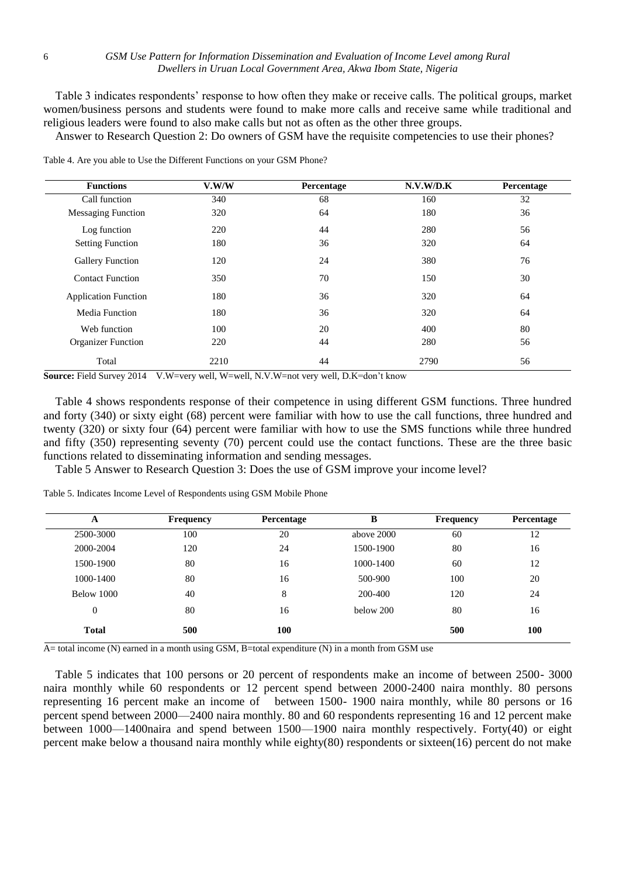Table 3 indicates respondents' response to how often they make or receive calls. The political groups, market women/business persons and students were found to make more calls and receive same while traditional and religious leaders were found to also make calls but not as often as the other three groups.

Answer to Research Question 2: Do owners of GSM have the requisite competencies to use their phones?

| <b>Functions</b>            | V.W/W | Percentage | N.V.W/D.K | Percentage |
|-----------------------------|-------|------------|-----------|------------|
| Call function               | 340   | 68         | 160       | 32         |
| <b>Messaging Function</b>   | 320   | 64         | 180       | 36         |
| Log function                | 220   | 44         | 280       | 56         |
| <b>Setting Function</b>     | 180   | 36         | 320       | 64         |
| Gallery Function            | 120   | 24         | 380       | 76         |
| <b>Contact Function</b>     | 350   | 70         | 150       | 30         |
| <b>Application Function</b> | 180   | 36         | 320       | 64         |
| Media Function              | 180   | 36         | 320       | 64         |
| Web function                | 100   | 20         | 400       | 80         |
| <b>Organizer Function</b>   | 220   | 44         | 280       | 56         |
| Total                       | 2210  | 44         | 2790      | 56         |

Table 4. Are you able to Use the Different Functions on your GSM Phone?

**Source:** Field Survey 2014 V.W=very well, W=well, N.V.W=not very well, D.K=don't know

Table 4 shows respondents response of their competence in using different GSM functions. Three hundred and forty (340) or sixty eight (68) percent were familiar with how to use the call functions, three hundred and twenty (320) or sixty four (64) percent were familiar with how to use the SMS functions while three hundred and fifty (350) representing seventy (70) percent could use the contact functions. These are the three basic functions related to disseminating information and sending messages.

Table 5 Answer to Research Question 3: Does the use of GSM improve your income level?

|  |  |  |  |  |  |  | Table 5. Indicates Income Level of Respondents using GSM Mobile Phone |  |  |  |  |
|--|--|--|--|--|--|--|-----------------------------------------------------------------------|--|--|--|--|
|--|--|--|--|--|--|--|-----------------------------------------------------------------------|--|--|--|--|

| A            | <b>Frequency</b> | Percentage | B          | <b>Frequency</b> | Percentage |
|--------------|------------------|------------|------------|------------------|------------|
| 2500-3000    | 100              | 20         | above 2000 | 60               | 12         |
| 2000-2004    | 120              | 24         | 1500-1900  | 80               | 16         |
| 1500-1900    | 80               | 16         | 1000-1400  | 60               | 12         |
| 1000-1400    | 80               | 16         | 500-900    | 100              | 20         |
| Below 1000   | 40               | 8          | 200-400    | 120              | 24         |
| $\theta$     | 80               | 16         | below 200  | 80               | 16         |
| <b>Total</b> | 500              | 100        |            | 500              | 100        |

A= total income (N) earned in a month using GSM, B=total expenditure (N) in a month from GSM use

Table 5 indicates that 100 persons or 20 percent of respondents make an income of between 2500- 3000 naira monthly while 60 respondents or 12 percent spend between 2000-2400 naira monthly. 80 persons representing 16 percent make an income of between 1500- 1900 naira monthly, while 80 persons or 16 percent spend between 2000—2400 naira monthly. 80 and 60 respondents representing 16 and 12 percent make between 1000—1400naira and spend between 1500—1900 naira monthly respectively. Forty(40) or eight percent make below a thousand naira monthly while eighty(80) respondents or sixteen(16) percent do not make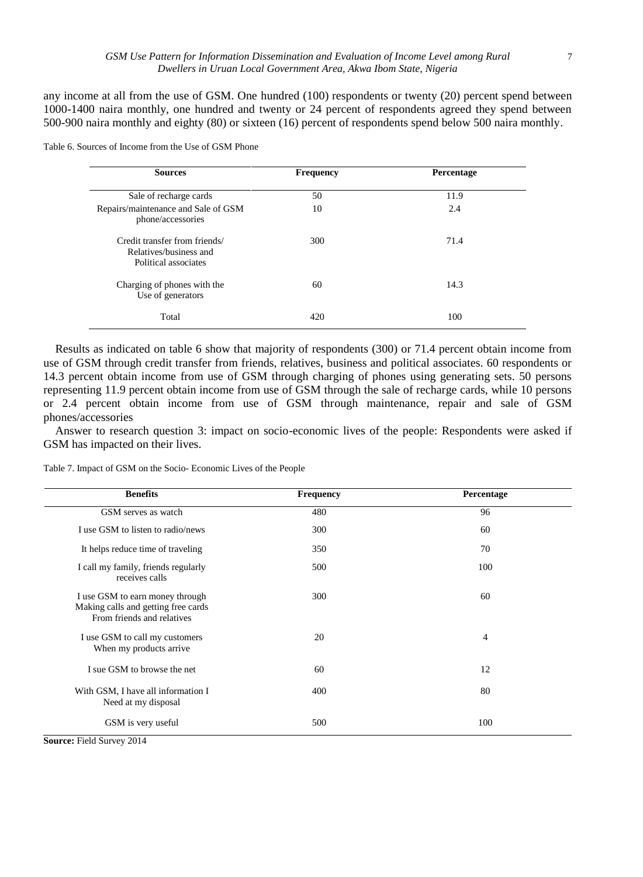any income at all from the use of GSM. One hundred (100) respondents or twenty (20) percent spend between 1000-1400 naira monthly, one hundred and twenty or 24 percent of respondents agreed they spend between 500-900 naira monthly and eighty (80) or sixteen (16) percent of respondents spend below 500 naira monthly.

Table 6. Sources of Income from the Use of GSM Phone

| <b>Sources</b>                                                                  | <b>Frequency</b> | Percentage |
|---------------------------------------------------------------------------------|------------------|------------|
| Sale of recharge cards                                                          | 50               | 11.9       |
| Repairs/maintenance and Sale of GSM<br>phone/accessories                        | 10               | 2.4        |
| Credit transfer from friends/<br>Relatives/business and<br>Political associates | 300              | 71.4       |
| Charging of phones with the<br>Use of generators                                | 60               | 14.3       |
| Total                                                                           | 420              | 100        |

Results as indicated on table 6 show that majority of respondents (300) or 71.4 percent obtain income from use of GSM through credit transfer from friends, relatives, business and political associates. 60 respondents or 14.3 percent obtain income from use of GSM through charging of phones using generating sets. 50 persons representing 11.9 percent obtain income from use of GSM through the sale of recharge cards, while 10 persons or 2.4 percent obtain income from use of GSM through maintenance, repair and sale of GSM phones/accessories

Answer to research question 3: impact on socio-economic lives of the people: Respondents were asked if GSM has impacted on their lives.

Table 7. Impact of GSM on the Socio- Economic Lives of the People

| <b>Benefits</b>                                                                                      | <b>Frequency</b> | Percentage     |
|------------------------------------------------------------------------------------------------------|------------------|----------------|
| GSM serves as watch                                                                                  | 480              | 96             |
| I use GSM to listen to radio/news                                                                    | 300              | 60             |
| It helps reduce time of traveling                                                                    | 350              | 70             |
| I call my family, friends regularly<br>receives calls                                                | 500              | 100            |
| I use GSM to earn money through<br>Making calls and getting free cards<br>From friends and relatives | 300              | 60             |
| I use GSM to call my customers<br>When my products arrive                                            | 20               | $\overline{4}$ |
| I sue GSM to browse the net                                                                          | 60               | 12             |
| With GSM, I have all information I<br>Need at my disposal                                            | 400              | 80             |
| GSM is very useful                                                                                   | 500              | 100            |

**Source:** Field Survey 2014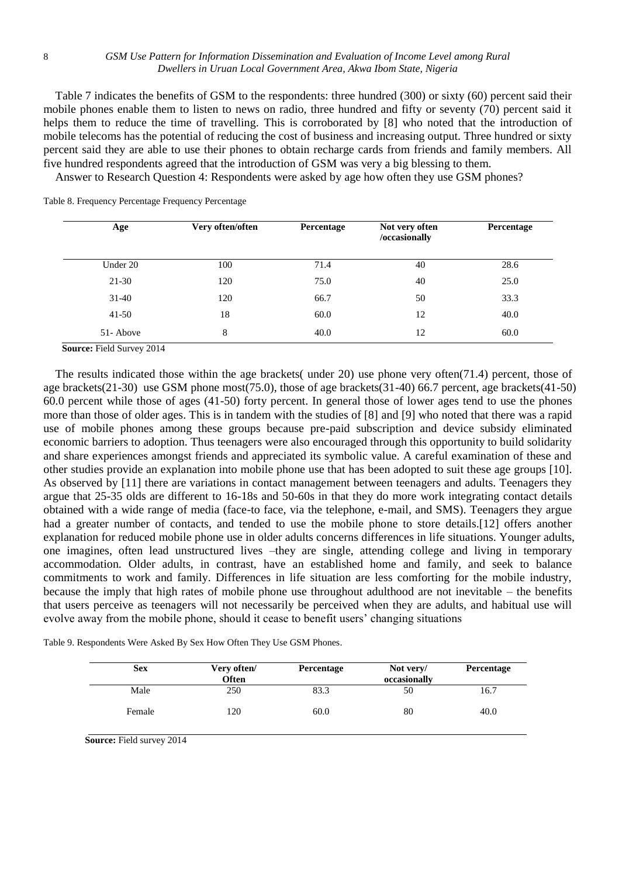### 8 *GSM Use Pattern for Information Dissemination and Evaluation of Income Level among Rural Dwellers in Uruan Local Government Area, Akwa Ibom State, Nigeria*

Table 7 indicates the benefits of GSM to the respondents: three hundred (300) or sixty (60) percent said their mobile phones enable them to listen to news on radio, three hundred and fifty or seventy (70) percent said it helps them to reduce the time of travelling. This is corroborated by [8] who noted that the introduction of mobile telecoms has the potential of reducing the cost of business and increasing output. Three hundred or sixty percent said they are able to use their phones to obtain recharge cards from friends and family members. All five hundred respondents agreed that the introduction of GSM was very a big blessing to them.

Answer to Research Question 4: Respondents were asked by age how often they use GSM phones?

| Age       | Very often/often | Percentage | Not very often<br>/occasionally | Percentage |
|-----------|------------------|------------|---------------------------------|------------|
| Under 20  | 100              | 71.4       | 40                              | 28.6       |
| $21-30$   | 120              | 75.0       | 40                              | 25.0       |
| $31 - 40$ | 120              | 66.7       | 50                              | 33.3       |
| $41-50$   | 18               | 60.0       | 12                              | 40.0       |
| 51-Above  | 8                | 40.0       | 12                              | 60.0       |

Table 8. Frequency Percentage Frequency Percentage

**Source:** Field Survey 2014

The results indicated those within the age brackets( under 20) use phone very often(71.4) percent, those of age brackets(21-30) use GSM phone most(75.0), those of age brackets(31-40) 66.7 percent, age brackets(41-50) 60.0 percent while those of ages (41-50) forty percent. In general those of lower ages tend to use the phones more than those of older ages. This is in tandem with the studies of [8] and [9] who noted that there was a rapid use of mobile phones among these groups because pre-paid subscription and device subsidy eliminated economic barriers to adoption. Thus teenagers were also encouraged through this opportunity to build solidarity and share experiences amongst friends and appreciated its symbolic value. A careful examination of these and other studies provide an explanation into mobile phone use that has been adopted to suit these age groups [10]. As observed by [11] there are variations in contact management between teenagers and adults. Teenagers they argue that 25-35 olds are different to 16-18s and 50-60s in that they do more work integrating contact details obtained with a wide range of media (face-to face, via the telephone, e-mail, and SMS). Teenagers they argue had a greater number of contacts, and tended to use the mobile phone to store details.[12] offers another explanation for reduced mobile phone use in older adults concerns differences in life situations. Younger adults, one imagines, often lead unstructured lives –they are single, attending college and living in temporary accommodation. Older adults, in contrast, have an established home and family, and seek to balance commitments to work and family. Differences in life situation are less comforting for the mobile industry, because the imply that high rates of mobile phone use throughout adulthood are not inevitable – the benefits that users perceive as teenagers will not necessarily be perceived when they are adults, and habitual use will evolve away from the mobile phone, should it cease to benefit users' changing situations

| <b>Sex</b> | Very often/<br><b>Often</b> | Percentage | Not very/<br>occasionally | Percentage |
|------------|-----------------------------|------------|---------------------------|------------|
| Male       | 250                         | 83.3       | 50                        | 16.7       |
| Female     | 120                         | 60.0       | 80                        | 40.0       |

**Source:** Field survey 2014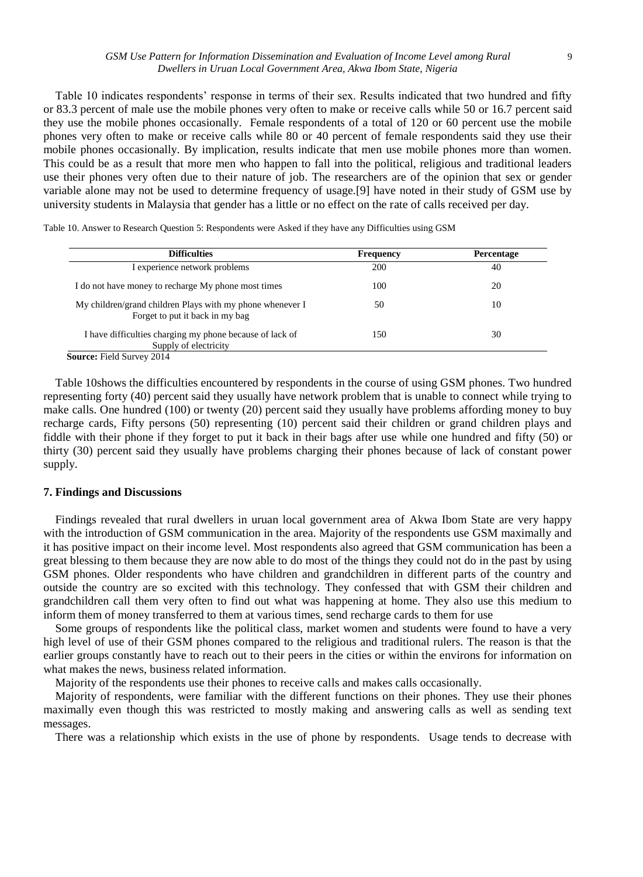### *GSM Use Pattern for Information Dissemination and Evaluation of Income Level among Rural* 9 *Dwellers in Uruan Local Government Area, Akwa Ibom State, Nigeria*

Table 10 indicates respondents' response in terms of their sex. Results indicated that two hundred and fifty or 83.3 percent of male use the mobile phones very often to make or receive calls while 50 or 16.7 percent said they use the mobile phones occasionally. Female respondents of a total of 120 or 60 percent use the mobile phones very often to make or receive calls while 80 or 40 percent of female respondents said they use their mobile phones occasionally. By implication, results indicate that men use mobile phones more than women. This could be as a result that more men who happen to fall into the political, religious and traditional leaders use their phones very often due to their nature of job. The researchers are of the opinion that sex or gender variable alone may not be used to determine frequency of usage.[9] have noted in their study of GSM use by university students in Malaysia that gender has a little or no effect on the rate of calls received per day.

Table 10. Answer to Research Question 5: Respondents were Asked if they have any Difficulties using GSM

| <b>Difficulties</b>                                                                          | <b>Frequency</b> | Percentage |
|----------------------------------------------------------------------------------------------|------------------|------------|
| I experience network problems                                                                | 200              | 40         |
| I do not have money to recharge My phone most times                                          | 100              | 20         |
| My children/grand children Plays with my phone whenever I<br>Forget to put it back in my bag | 50               | 10         |
| I have difficulties charging my phone because of lack of<br>Supply of electricity            | 150              | 30         |
| <b>Source:</b> Field Survey 2014                                                             |                  |            |

Table 10shows the difficulties encountered by respondents in the course of using GSM phones. Two hundred representing forty (40) percent said they usually have network problem that is unable to connect while trying to make calls. One hundred (100) or twenty (20) percent said they usually have problems affording money to buy recharge cards, Fifty persons (50) representing (10) percent said their children or grand children plays and fiddle with their phone if they forget to put it back in their bags after use while one hundred and fifty (50) or thirty (30) percent said they usually have problems charging their phones because of lack of constant power supply.

# **7. Findings and Discussions**

Findings revealed that rural dwellers in uruan local government area of Akwa Ibom State are very happy with the introduction of GSM communication in the area. Majority of the respondents use GSM maximally and it has positive impact on their income level. Most respondents also agreed that GSM communication has been a great blessing to them because they are now able to do most of the things they could not do in the past by using GSM phones. Older respondents who have children and grandchildren in different parts of the country and outside the country are so excited with this technology. They confessed that with GSM their children and grandchildren call them very often to find out what was happening at home. They also use this medium to inform them of money transferred to them at various times, send recharge cards to them for use

Some groups of respondents like the political class, market women and students were found to have a very high level of use of their GSM phones compared to the religious and traditional rulers. The reason is that the earlier groups constantly have to reach out to their peers in the cities or within the environs for information on what makes the news, business related information.

Majority of the respondents use their phones to receive calls and makes calls occasionally.

Majority of respondents, were familiar with the different functions on their phones. They use their phones maximally even though this was restricted to mostly making and answering calls as well as sending text messages.

There was a relationship which exists in the use of phone by respondents. Usage tends to decrease with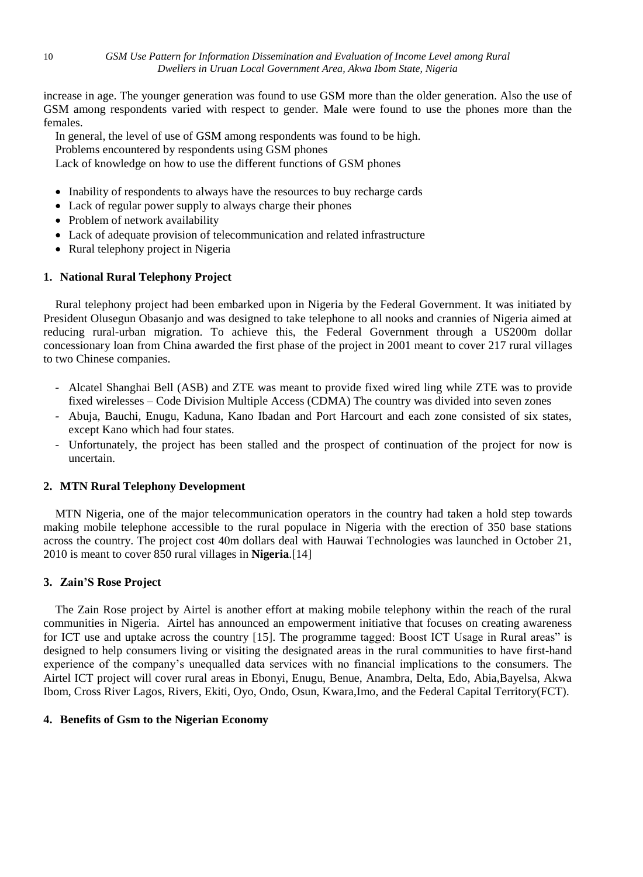increase in age. The younger generation was found to use GSM more than the older generation. Also the use of GSM among respondents varied with respect to gender. Male were found to use the phones more than the females.

In general, the level of use of GSM among respondents was found to be high.

Problems encountered by respondents using GSM phones

Lack of knowledge on how to use the different functions of GSM phones

- Inability of respondents to always have the resources to buy recharge cards
- Lack of regular power supply to always charge their phones
- Problem of network availability
- Lack of adequate provision of telecommunication and related infrastructure
- Rural telephony project in Nigeria

# **1. National Rural Telephony Project**

Rural telephony project had been embarked upon in Nigeria by the Federal Government. It was initiated by President Olusegun Obasanjo and was designed to take telephone to all nooks and crannies of Nigeria aimed at reducing rural-urban migration. To achieve this, the Federal Government through a US200m dollar concessionary loan from China awarded the first phase of the project in 2001 meant to cover 217 rural villages to two Chinese companies.

- Alcatel Shanghai Bell (ASB) and ZTE was meant to provide fixed wired ling while ZTE was to provide fixed wirelesses – Code Division Multiple Access (CDMA) The country was divided into seven zones
- Abuja, Bauchi, Enugu, Kaduna, Kano Ibadan and Port Harcourt and each zone consisted of six states, except Kano which had four states.
- Unfortunately, the project has been stalled and the prospect of continuation of the project for now is uncertain.

# **2. MTN Rural Telephony Development**

MTN Nigeria, one of the major telecommunication operators in the country had taken a hold step towards making mobile telephone accessible to the rural populace in Nigeria with the erection of 350 base stations across the country. The project cost 40m dollars deal with Hauwai Technologies was launched in October 21, 2010 is meant to cover 850 rural villages in **Nigeria**.[14]

# **3. Zain'S Rose Project**

The Zain Rose project by Airtel is another effort at making mobile telephony within the reach of the rural communities in Nigeria. Airtel has announced an empowerment initiative that focuses on creating awareness for ICT use and uptake across the country [15]. The programme tagged: Boost ICT Usage in Rural areas" is designed to help consumers living or visiting the designated areas in the rural communities to have first-hand experience of the company's unequalled data services with no financial implications to the consumers. The Airtel ICT project will cover rural areas in Ebonyi, Enugu, Benue, Anambra, Delta, Edo, Abia,Bayelsa, Akwa Ibom, Cross River Lagos, Rivers, Ekiti, Oyo, Ondo, Osun, Kwara,Imo, and the Federal Capital Territory(FCT).

# **4. Benefits of Gsm to the Nigerian Economy**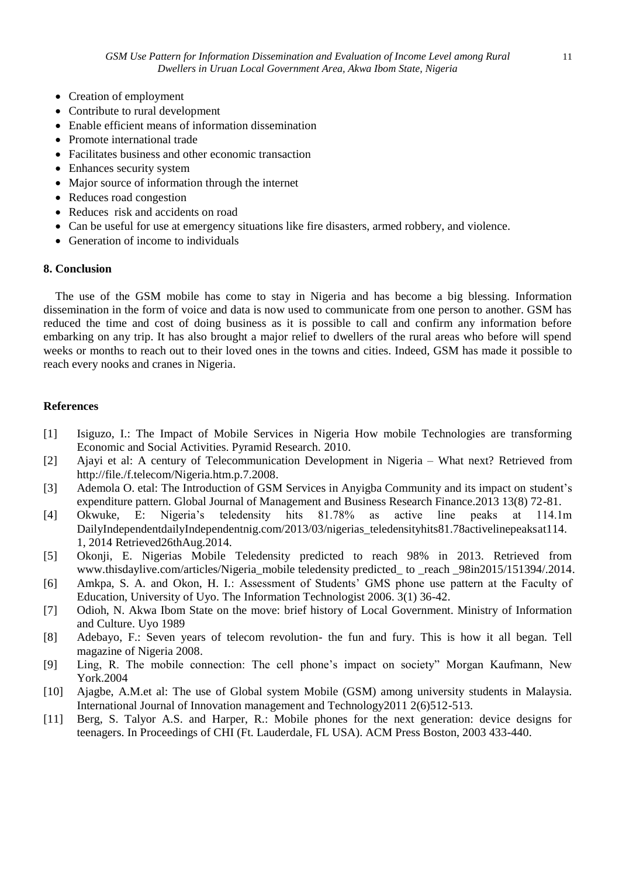- Creation of employment
- Contribute to rural development
- Enable efficient means of information dissemination
- Promote international trade
- Facilitates business and other economic transaction
- Enhances security system
- Major source of information through the internet
- Reduces road congestion
- Reduces risk and accidents on road
- Can be useful for use at emergency situations like fire disasters, armed robbery, and violence.
- Generation of income to individuals

# **8. Conclusion**

The use of the GSM mobile has come to stay in Nigeria and has become a big blessing. Information dissemination in the form of voice and data is now used to communicate from one person to another. GSM has reduced the time and cost of doing business as it is possible to call and confirm any information before embarking on any trip. It has also brought a major relief to dwellers of the rural areas who before will spend weeks or months to reach out to their loved ones in the towns and cities. Indeed, GSM has made it possible to reach every nooks and cranes in Nigeria.

# **References**

- [1] Isiguzo, I.: The Impact of Mobile Services in Nigeria How mobile Technologies are transforming Economic and Social Activities. Pyramid Research. 2010.
- [2] Ajayi et al: A century of Telecommunication Development in Nigeria What next? Retrieved from http://file./f.telecom/Nigeria.htm.p.7.2008.
- [3] Ademola O. etal: The Introduction of GSM Services in Anyigba Community and its impact on student's expenditure pattern. Global Journal of Management and Business Research Finance.2013 13(8) 72-81.
- [4] Okwuke, E: Nigeria's teledensity hits 81.78% as active line peaks at 114.1m DailyIndependentdailyIndependentnig.com/2013/03/nigerias\_teledensityhits81.78activelinepeaksat114. 1, 2014 Retrieved26thAug.2014.
- [5] Okonji, E. Nigerias Mobile Teledensity predicted to reach 98% in 2013. Retrieved from www.thisdaylive.com/articles/Nigeria\_mobile teledensity predicted\_ to \_reach \_98in2015/151394/.2014.
- [6] Amkpa, S. A. and Okon, H. I.: Assessment of Students' GMS phone use pattern at the Faculty of Education, University of Uyo. The Information Technologist 2006. 3(1) 36-42.
- [7] Odioh, N. Akwa Ibom State on the move: brief history of Local Government. Ministry of Information and Culture. Uyo 1989
- [8] Adebayo, F.: Seven years of telecom revolution- the fun and fury. This is how it all began. Tell magazine of Nigeria 2008.
- [9] Ling, R. The mobile connection: The cell phone's impact on society" Morgan Kaufmann, New York.2004
- [10] Ajagbe, A.M.et al: The use of Global system Mobile (GSM) among university students in Malaysia. International Journal of Innovation management and Technology2011 2(6)512-513.
- [11] Berg, S. Talyor A.S. and Harper, R.: Mobile phones for the next generation: device designs for teenagers. In Proceedings of CHI (Ft. Lauderdale, FL USA). ACM Press Boston, 2003 433-440.